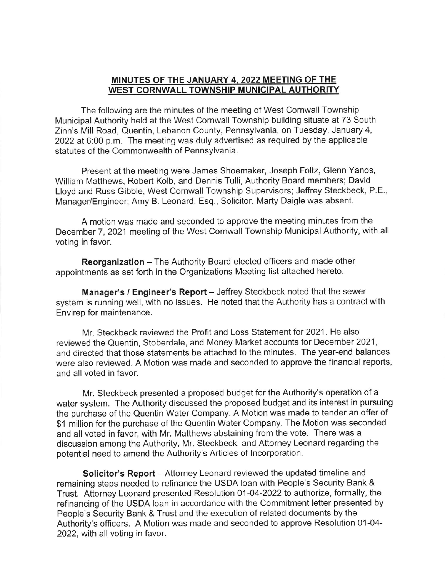## MINUTES OF THE JANUARY 4 2022 MEETING OF THE WEST CORNWALL TOWNSHIP MUNICIPAL AUTHORITY

The following are the minutes of the meeting of West Cornwall Township Municipal Authority held at the West Cornwall Township building situate at 73 South Zinn's Mill Road, Quentin, Lebanon County, Pennsylvania, on Tuesday, January 4, 2022 at 6:00 p.m. The meeting was duly advertised as required by the applicable statutes of the Commonwealth of Pennsylvania.

Present at the meeting were James Shoemaker, Joseph Foltz, Glenn Yanos, William Matthews, Robert Kolb, and Dennis Tulli, Authority Board members; David Lloyd and Russ Gibble, West Cornwall Township Supervisors; Jeffrey Steckbeck, P.E., Manager/Engineer; Amy B. Leonard, Esq., Solicitor. Marty Daigle was absent.

A motion was made and seconded to approve the meeting minutes from the December 7, 2021 meeting of the West Cornwall Township Municipal Authority, with all voting in favor.

Reorganization - The Authority Board elected officers and made other appointments as set forth in the Organizations Meeting list attached hereto.

Manager's / Engineer's Report - Jeffrey Steckbeck noted that the sewer system is running well, with no issues. He noted that the Authority has a contract with Envirep for maintenance.

Mr. Steckbeck reviewed the Profit and Loss Statement for 2021 . He also reviewed the Quentin, Stoberdale, and Money Market accounts for December 2021, and directed that those statements be attached to the minutes. The year-end balances were also reviewed. A Motion was made and seconded to approve the financial reports, and all voted in favor.

Mr. Steckbeck presented a proposed budget for the Authority's operation of a water system. The Authority discussed the proposed budget and its interest in pursuing the purchase of the Quentin Water Company. A Motion was made to tender an offer of \$1 million for the purchase of the Quentin Water Company. The Motion was seconded and all voted in favor, with Mr. Matthews abstaining from the vote. There was a discussion among the Authority, Mr. Steckbeck, and Attorney Leonard regarding the potential need to amend the Authority's Articles of lncorporation.

Solicitor's Report - Attorney Leonard reviewed the updated timeline and remaining steps needed to refinance the USDA loan with People's Security Bank & Trust. Attorney Leonard presented Resolution 01-04-2022 to authorize, formally, the refinancing of the USDA loan in accordance with the Commitment letter presented by People's Security Bank & Trust and the execution of related documents by the Authority's officers. A Motion was made and seconded to approve Resolution 01-04- 2022, with all voting in favor.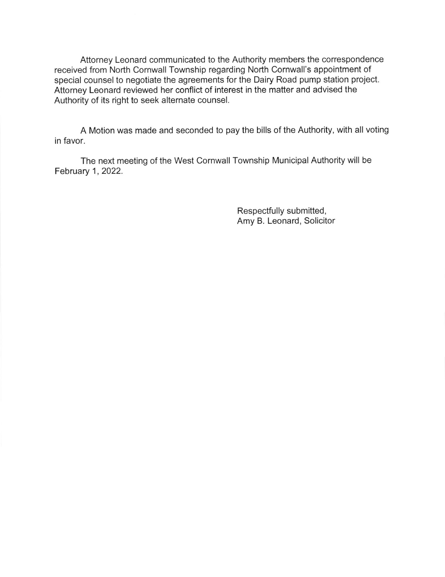Attorney Leonard communicated to the Authority members the correspondence received from North Cornwall Township regarding North Cornwall's appointment of special counsel to negotiate the agreements for the Dairy Road pump station project. Attorney Leonard reviewed her conflict of interest in the matter and advised the Authority of its right to seek alternate counsel.

A Motion was made and seconded to pay the bills of the Authority, with all voting in favor.

The next meeting of the West Cornwall Township Municipal Authority will be February 1,2022.

> Respectfully submitted, Amy B. Leonard, Solicitor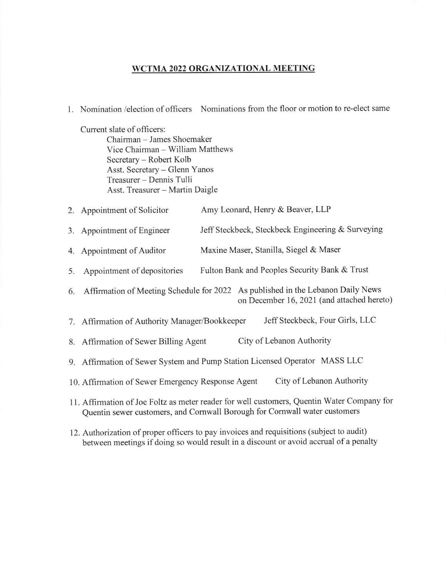## WCTMA 2022 ORGANIZATIONAL MEETING

L Nomination /election of officers Nominations fiom the floor or motion to re-elect same

Current slate of officers:

Chairman - James Shoemaker Vice Chairman - William Matthews Secretary - Robert Kolb Asst. Secretary - Glenn Yanos Treasurer - Dennis Tulli Asst. Treasurer - Martin Daigle

|  | 2. Appointment of Solicitor | Amy Leonard, Henry & Beaver, LLP |
|--|-----------------------------|----------------------------------|
|--|-----------------------------|----------------------------------|

- 3. Appointment of Engineer Jeff Steckbeck, Steckbeck Engineering & Surveying
- 4. Appointment of Auditor Maxine Maser, Stanilla, Siegel & Maser
- 5. Appointment of depositories Fulton Bank and Peoples Security Bank & Trust
- 6. Affirmation of Meeting Schedule for 2022 As published in the Lebanon Daily News on December 16,2021 (and attached hereto)
- 7. Affirmation of Authority Manager,/Bookkeeper Jeff Steckbeck, Four Girls, LLC
- 8. Affirmation of Sewer Billing Agent City of Lebanon Authority
- 9. Affirmation of Sewer System and Pump Station Licensed Operator MASS LLC
- 10. Affirmation of Sewer Emergency Response Agent City of Lebanon Authority
- <sup>1</sup>1. Affirmation of Joe Foltz as meter reader for well customers, Quentin Water Company for Quentin sewer customers, and Comwall Borough for Comwall water customers
- 12. Authorization of proper officers to pay invoices and requisitions (subject to audit) between meetings if doing so would result in a discount or avoid accrual of a penalty